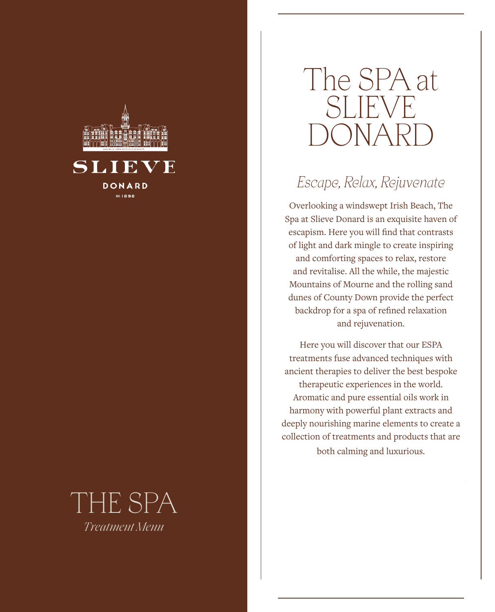

### SLIEVE DONARD **红1898**

## THE SPA *Treatment Menu*

# The SPA at SLIEVE )()NAF

## *Escape, Relax, Rejuvenate*

Overlooking a windswept Irish Beach, The Spa at Slieve Donard is an exquisite haven of escapism. Here you will find that contrasts of light and dark mingle to create inspiring and comforting spaces to relax, restore and revitalise. All the while, the majestic Mountains of Mourne and the rolling sand dunes of County Down provide the perfect backdrop for a spa of refined relaxation and rejuvenation.

Here you will discover that our ESPA treatments fuse advanced techniques with ancient therapies to deliver the best bespoke therapeutic experiences in the world. Aromatic and pure essential oils work in harmony with powerful plant extracts and deeply nourishing marine elements to create a collection of treatments and products that are both calming and luxurious.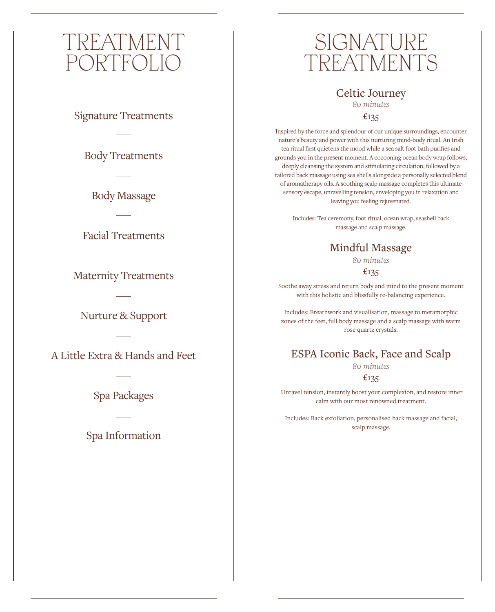## TREATMENT PORTFOLIO

Signature Treatments

Body Treatments

Body Massage

Facial Treatments

Maternity Treatments

Nurture & Support

A Little Extra & Hands and Feet

Spa Packages

Spa Information

## SIGNATURE TREATMENTS

Celtic Journey *80 minutes*  £135

Inspired by the force and splendour of our unique surroundings, encounter nature's beauty and power with this nurturing mind-body ritual. An Irish tea ritual first quietens the mood while a sea salt foot bath purifies and grounds you in the present moment. A cocooning ocean body wrap follows, deeply cleansing the system and stimulating circulation, followed by a tailored back massage using sea shells alongside a personally selected blend of aromatherapy oils. A soothing scalp massage completes this ultimate sensory escape, unravelling tension, enveloping you in relaxation and leaving you feeling rejuvenated.

Includes: Tea ceremony, foot ritual, ocean wrap, seashell back massage and scalp massage.

## Mindful Massage

*80 minutes*

#### £135

Soothe away stress and return body and mind to the present moment with this holistic and blissfully re-balancing experience.

Includes: Breathwork and visualisation, massage to metamorphic zones of the feet, full body massage and a scalp massage with warm rose quartz crystals.

#### ESPA Iconic Back, Face and Scalp *80 minutes* £135

 Unravel tension, instantly boost your complexion, and restore inner calm with our most renowned treatment.

Includes: Back exfoliation, personalised back massage and facial, scalp massage.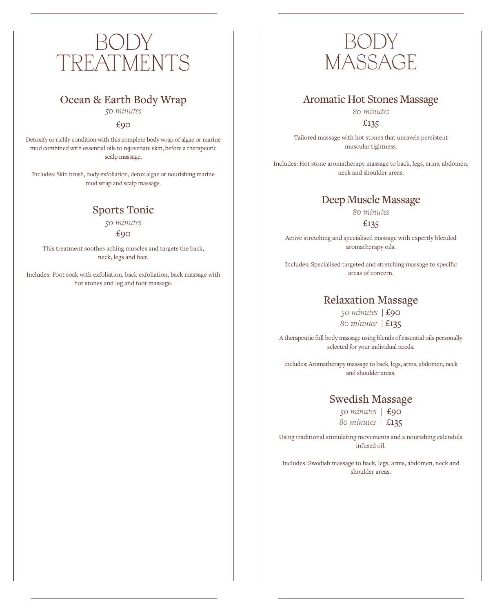## BODY TREATMENTS

### Ocean & Earth Body Wrap

*50 minutes* 

 $f_{.90}$ 

Detoxify or richly condition with this complete body wrap of algae or marine mud combined with essential oils to rejuvenate skin, before a therapeutic scalp massage.

Includes: Skin brush, body exfoliation, detox algae or nourishing marine mud wrap and scalp massage.

### Sports Tonic

*50 minutes*

£90

This treatment soothes aching muscles and targets the back, neck, legs and feet.

Includes: Foot soak with exfoliation, back exfoliation, back massage with hot stones and leg and foot massage.



#### Aromatic Hot Stones Massage

*80 minutes* £135

Tailored massage with hot stones that unravels persistent muscular tightness.

Includes: Hot stone aromatherapy massage to back, legs, arms, abdomen, neck and shoulder areas.

#### Deep Muscle Massage

*80 minutes*

£135

Active stretching and specialised massage with expertly blended aromatherapy oils.

Includes: Specialised targeted and stretching massage to specific areas of concern.

#### Relaxation Massage

*50 minutes |* £90 *80 minutes |* £135

A therapeutic full body massage using blends of essential oils personally selected for your individual needs.

Includes: Aromatherapy massage to back, legs, arms, abdomen, neck and shoulder areas.

#### Swedish Massage

*50 minutes |* £90 *80 minutes |* £135

Using traditional stimulating movements and a nourishing calendula infused oil.

Includes: Swedish massage to back, legs, arms, abdomen, neck and shoulder areas.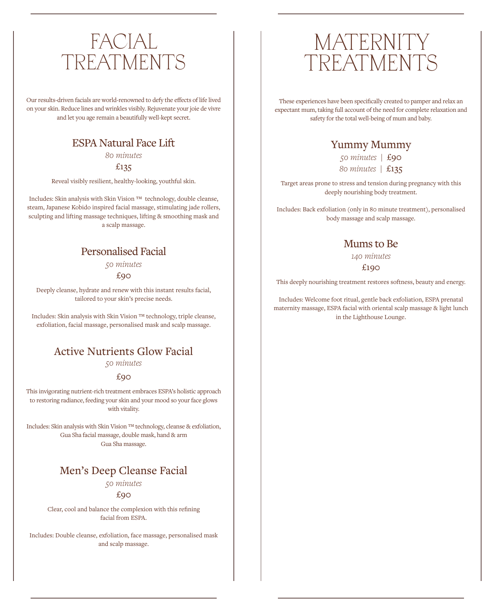## FACIAL TREATMENTS

Our results-driven facials are world-renowned to defy the effects of life lived on your skin. Reduce lines and wrinkles visibly. Rejuvenate your joie de vivre and let you age remain a beautifully well-kept secret.

#### ESPA Natural Face Lift

*80 minutes*

£135

Reveal visibly resilient, healthy-looking, youthful skin.

Includes: Skin analysis with Skin Vision ™ technology, double cleanse, steam, Japanese Kobido inspired facial massage, stimulating jade rollers, sculpting and lifting massage techniques, lifting & smoothing mask and a scalp massage.

#### Personalised Facial

*50 minutes*

£90

Deeply cleanse, hydrate and renew with this instant results facial, tailored to your skin's precise needs.

Includes: Skin analysis with Skin Vision ™ technology, triple cleanse, exfoliation, facial massage, personalised mask and scalp massage.

### Active Nutrients Glow Facial

*50 minutes* 

#### £90

This invigorating nutrient-rich treatment embraces ESPA's holistic approach to restoring radiance, feeding your skin and your mood so your face glows with vitality.

Includes: Skin analysis with Skin Vision ™ technology, cleanse & exfoliation, Gua Sha facial massage, double mask, hand & arm Gua Sha massage.

### Men's Deep Cleanse Facial

*50 minutes*

£90

Clear, cool and balance the complexion with this refining facial from ESPA.

Includes: Double cleanse, exfoliation, face massage, personalised mask and scalp massage.

## **MATERNITY** TREATMENTS

These experiences have been specifically created to pamper and relax an expectant mum, taking full account of the need for complete relaxation and safety for the total well-being of mum and baby.

#### Yummy Mummy

*50 minutes |* £90

*80 minutes |* £135

Target areas prone to stress and tension during pregnancy with this deeply nourishing body treatment.

Includes: Back exfoliation (only in 80 minute treatment), personalised body massage and scalp massage.

#### Mums to Be

*140 minutes*

#### £190

This deeply nourishing treatment restores softness, beauty and energy.

Includes: Welcome foot ritual, gentle back exfoliation, ESPA prenatal maternity massage, ESPA facial with oriental scalp massage & light lunch in the Lighthouse Lounge.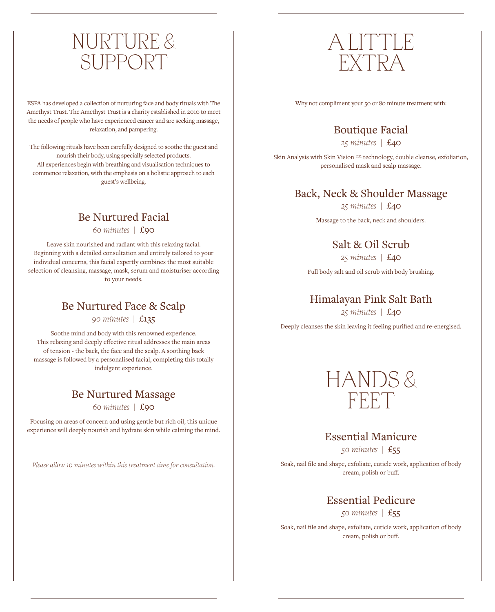## NURTURE & SUPPORT

ESPA has developed a collection of nurturing face and body rituals with The Amethyst Trust. The Amethyst Trust is a charity established in 2010 to meet the needs of people who have experienced cancer and are seeking massage, relaxation, and pampering.

The following rituals have been carefully designed to soothe the guest and nourish their body, using specially selected products. All experiences begin with breathing and visualisation techniques to commence relaxation, with the emphasis on a holistic approach to each guest's wellbeing.

## Be Nurtured Facial

*60 minutes |* £90

Leave skin nourished and radiant with this relaxing facial. Beginning with a detailed consultation and entirely tailored to your individual concerns, this facial expertly combines the most suitable selection of cleansing, massage, mask, serum and moisturiser according to your needs.

## Be Nurtured Face & Scalp

*90 minutes |* £135

Soothe mind and body with this renowned experience. This relaxing and deeply effective ritual addresses the main areas of tension - the back, the face and the scalp. A soothing back massage is followed by a personalised facial, completing this totally indulgent experience.

## Be Nurtured Massage

*60 minutes |* £90

Focusing on areas of concern and using gentle but rich oil, this unique experience will deeply nourish and hydrate skin while calming the mind.

*Please allow 10 minutes within this treatment time for consultation.*

## A LITTLE EXTRA

Why not compliment your 50 or 80 minute treatment with:

## Boutique Facial

*25 minutes |* £40

Skin Analysis with Skin Vision ™ technology, double cleanse, exfoliation, personalised mask and scalp massage.

#### Back, Neck & Shoulder Massage

*25 minutes |* £40

Massage to the back, neck and shoulders.

#### Salt & Oil Scrub

*25 minutes |* £40

Full body salt and oil scrub with body brushing.

## Himalayan Pink Salt Bath

*25 minutes |* £40

Deeply cleanses the skin leaving it feeling purified and re-energised.



#### Essential Manicure

*50 minutes |* £55

Soak, nail file and shape, exfoliate, cuticle work, application of body cream, polish or buff.

> Essential Pedicure *50 minutes |* £55

Soak, nail file and shape, exfoliate, cuticle work, application of body cream, polish or buff.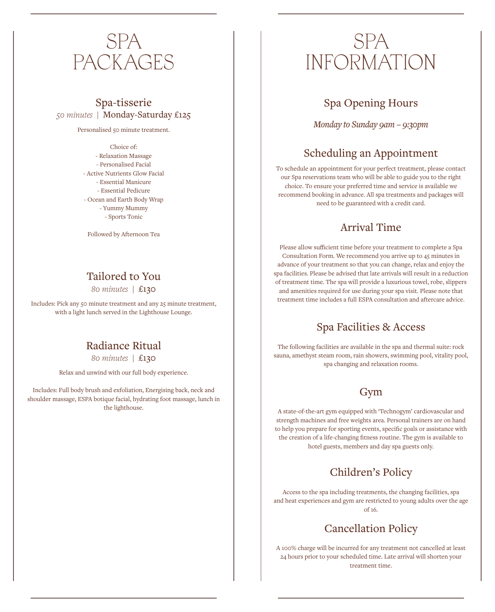## SPA PACKAGES

#### Spa-tisserie *50 minutes |* Monday-Saturday £125

Personalised 50 minute treatment.

Choice of: - Relaxation Massage - Personalised Facial - Active Nutrients Glow Facial - Essential Manicure - Essential Pedicure - Ocean and Earth Body Wrap - Yummy Mummy - Sports Tonic

Followed by Afternoon Tea

## Tailored to You

*80 minutes |* £130

Includes: Pick any 50 minute treatment and any 25 minute treatment, with a light lunch served in the Lighthouse Lounge.

## Radiance Ritual

*80 minutes |* £130

Relax and unwind with our full body experience.

Includes: Full body brush and exfoliation, Energising back, neck and shoulder massage, ESPA botique facial, hydrating foot massage, lunch in the lighthouse.

## SPA INFORMATION

## Spa Opening Hours

*Monday to Sunday 9am – 9:30pm* 

## Scheduling an Appointment

To schedule an appointment for your perfect treatment, please contact our Spa reservations team who will be able to guide you to the right choice. To ensure your preferred time and service is available we recommend booking in advance. All spa treatments and packages will need to be guaranteed with a credit card.

## Arrival Time

Please allow sufficient time before your treatment to complete a Spa Consultation Form. We recommend you arrive up to 45 minutes in advance of your treatment so that you can change, relax and enjoy the spa facilities. Please be advised that late arrivals will result in a reduction of treatment time. The spa will provide a luxurious towel, robe, slippers and amenities required for use during your spa visit. Please note that treatment time includes a full ESPA consultation and aftercare advice.

## Spa Facilities & Access

The following facilities are available in the spa and thermal suite: rock sauna, amethyst steam room, rain showers, swimming pool, vitality pool, spa changing and relaxation rooms.

## Gym

A state-of-the-art gym equipped with 'Technogym' cardiovascular and strength machines and free weights area. Personal trainers are on hand to help you prepare for sporting events, specific goals or assistance with the creation of a life-changing fitness routine. The gym is available to hotel guests, members and day spa guests only.

## Children's Policy

Access to the spa including treatments, the changing facilities, spa and heat experiences and gym are restricted to young adults over the age of 16.

## Cancellation Policy

A 100% charge will be incurred for any treatment not cancelled at least 24 hours prior to your scheduled time. Late arrival will shorten your treatment time.